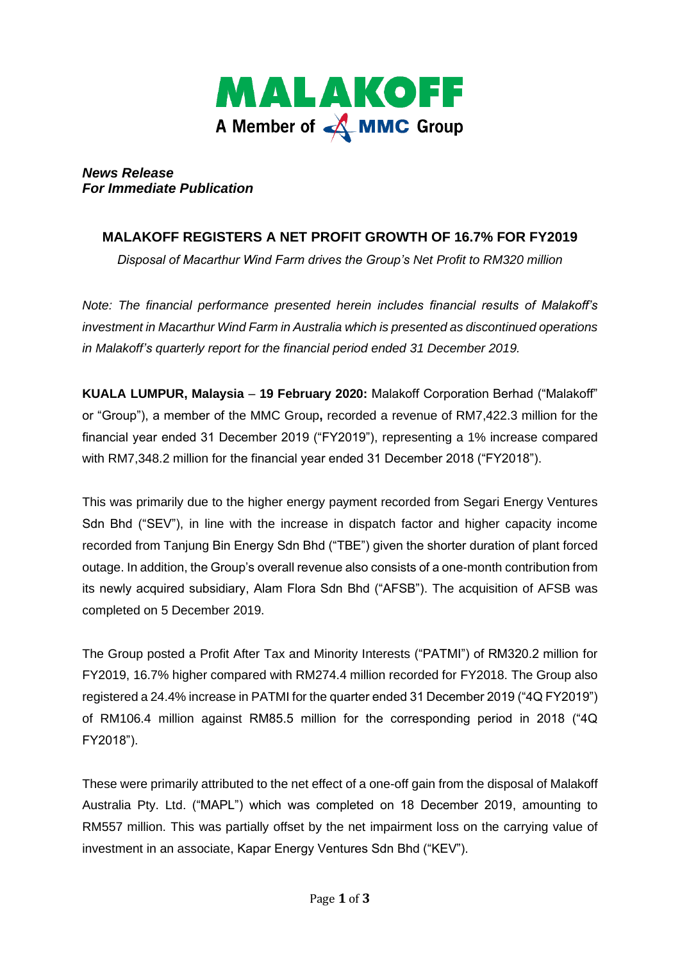

*News Release For Immediate Publication* 

# **MALAKOFF REGISTERS A NET PROFIT GROWTH OF 16.7% FOR FY2019**

*Disposal of Macarthur Wind Farm drives the Group's Net Profit to RM320 million*

*Note: The financial performance presented herein includes financial results of Malakoff's investment in Macarthur Wind Farm in Australia which is presented as discontinued operations in Malakoff's quarterly report for the financial period ended 31 December 2019.*

**KUALA LUMPUR, Malaysia** – **19 February 2020:** Malakoff Corporation Berhad ("Malakoff" or "Group"), a member of the MMC Group**,** recorded a revenue of RM7,422.3 million for the financial year ended 31 December 2019 ("FY2019"), representing a 1% increase compared with RM7,348.2 million for the financial year ended 31 December 2018 ("FY2018").

This was primarily due to the higher energy payment recorded from Segari Energy Ventures Sdn Bhd ("SEV"), in line with the increase in dispatch factor and higher capacity income recorded from Tanjung Bin Energy Sdn Bhd ("TBE") given the shorter duration of plant forced outage. In addition, the Group's overall revenue also consists of a one-month contribution from its newly acquired subsidiary, Alam Flora Sdn Bhd ("AFSB"). The acquisition of AFSB was completed on 5 December 2019.

The Group posted a Profit After Tax and Minority Interests ("PATMI") of RM320.2 million for FY2019, 16.7% higher compared with RM274.4 million recorded for FY2018. The Group also registered a 24.4% increase in PATMI for the quarter ended 31 December 2019 ("4Q FY2019") of RM106.4 million against RM85.5 million for the corresponding period in 2018 ("4Q FY2018").

These were primarily attributed to the net effect of a one-off gain from the disposal of Malakoff Australia Pty. Ltd. ("MAPL") which was completed on 18 December 2019, amounting to RM557 million. This was partially offset by the net impairment loss on the carrying value of investment in an associate, Kapar Energy Ventures Sdn Bhd ("KEV").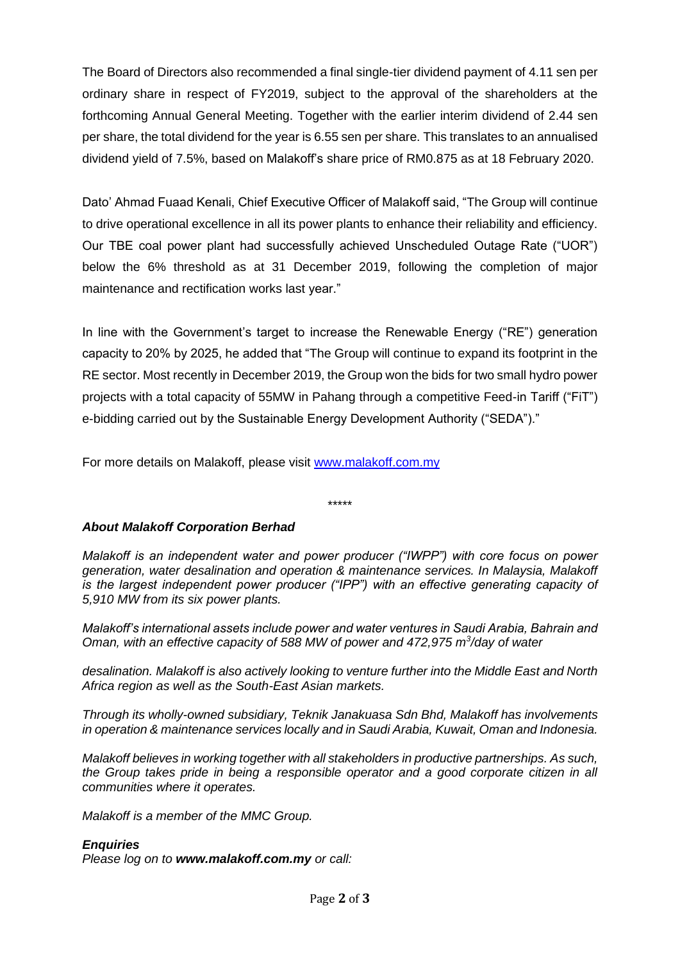The Board of Directors also recommended a final single-tier dividend payment of 4.11 sen per ordinary share in respect of FY2019, subject to the approval of the shareholders at the forthcoming Annual General Meeting. Together with the earlier interim dividend of 2.44 sen per share, the total dividend for the year is 6.55 sen per share. This translates to an annualised dividend yield of 7.5%, based on Malakoff's share price of RM0.875 as at 18 February 2020.

Dato' Ahmad Fuaad Kenali, Chief Executive Officer of Malakoff said, "The Group will continue to drive operational excellence in all its power plants to enhance their reliability and efficiency. Our TBE coal power plant had successfully achieved Unscheduled Outage Rate ("UOR") below the 6% threshold as at 31 December 2019, following the completion of major maintenance and rectification works last year."

In line with the Government's target to increase the Renewable Energy ("RE") generation capacity to 20% by 2025, he added that "The Group will continue to expand its footprint in the RE sector. Most recently in December 2019, the Group won the bids for two small hydro power projects with a total capacity of 55MW in Pahang through a competitive Feed-in Tariff ("FiT") e-bidding carried out by the Sustainable Energy Development Authority ("SEDA")."

For more details on Malakoff, please visit [www.malakoff.com.my](http://www.malakoff.com.my/) 

\*\*\*\*\*

## *About Malakoff Corporation Berhad*

*Malakoff is an independent water and power producer ("IWPP") with core focus on power generation, water desalination and operation & maintenance services. In Malaysia, Malakoff is the largest independent power producer ("IPP") with an effective generating capacity of 5,910 MW from its six power plants.* 

*Malakoff's international assets include power and water ventures in Saudi Arabia, Bahrain and Oman, with an effective capacity of 588 MW of power and 472,975 m<sup>3</sup> /day of water* 

*desalination. Malakoff is also actively looking to venture further into the Middle East and North Africa region as well as the South-East Asian markets.* 

*Through its wholly-owned subsidiary, Teknik Janakuasa Sdn Bhd, Malakoff has involvements in operation & maintenance services locally and in Saudi Arabia, Kuwait, Oman and Indonesia.*

*Malakoff believes in working together with all stakeholders in productive partnerships. As such, the Group takes pride in being a responsible operator and a good corporate citizen in all communities where it operates.*

*Malakoff is a member of the MMC Group.*

#### *Enquiries*

*Please log on to www.malakoff.com.my or call:*